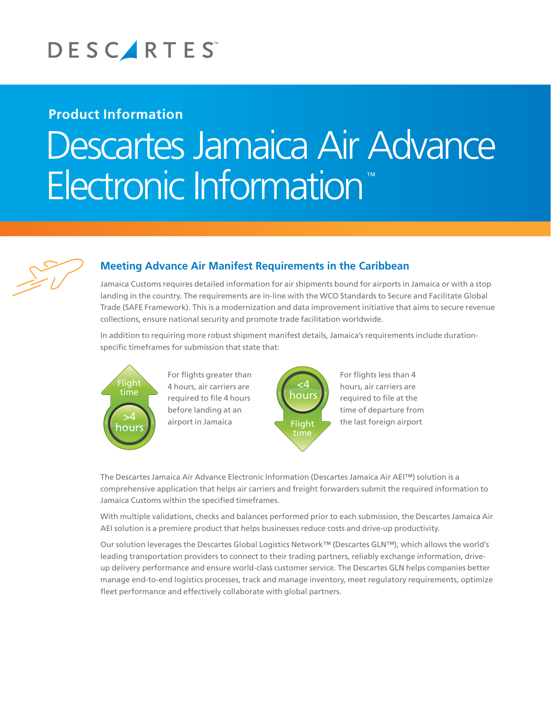

## **Product Information**

# Descartes Jamaica Air Advance **Electronic Information**



## **Meeting Advance Air Manifest Requirements in the Caribbean**

Jamaica Customs requires detailed information for air shipments bound for airports in Jamaica or with a stop landing in the country. The requirements are in-line with the WCO Standards to Secure and Facilitate Global Trade (SAFE Framework). This is a modernization and data improvement initiative that aims to secure revenue collections, ensure national security and promote trade facilitation worldwide.

In addition to requiring more robust shipment manifest details, Jamaica's requirements include durationspecific timeframes for submission that state that:



>4 airport in Jamaica 4 hours, air carriers are <sub>Thours</sub>, an carriers are<br>required to file 4 hours For flights greater than before landing at an



For flights less than 4 hours, air carriers are required to file at the time of departure from the last foreign airport

The Descartes Jamaica Air Advance Electronic Information (Descartes Jamaica Air AEI™) solution is a comprehensive application that helps air carriers and freight forwarders submit the required information to Jamaica Customs within the specified timeframes.

With multiple validations, checks and balances performed prior to each submission, the Descartes Jamaica Air AEI solution is a premiere product that helps businesses reduce costs and drive-up productivity.

Our solution leverages the Descartes Global Logistics Network™ (Descartes GLN™), which allows the world's leading transportation providers to connect to their trading partners, reliably exchange information, driveup delivery performance and ensure world-class customer service. The Descartes GLN helps companies better manage end-to-end logistics processes, track and manage inventory, meet regulatory requirements, optimize fleet performance and effectively collaborate with global partners.